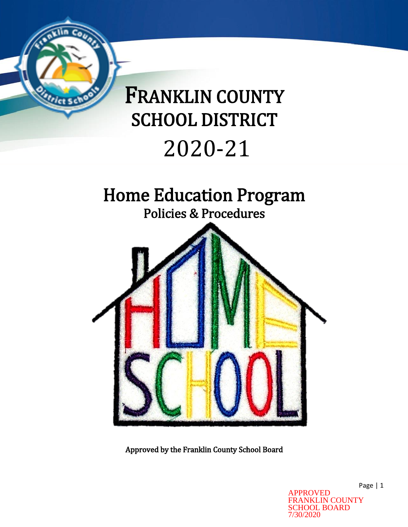

# FRANKLIN COUNTY SCHOOL DISTRICT 2020-21

E

# Home Education Program Policies & Procedures



Approved by the Franklin County School Board

Page | 1 APPROVED FRANKLIN COUNTY SCHOOL BOARD 7/30/2020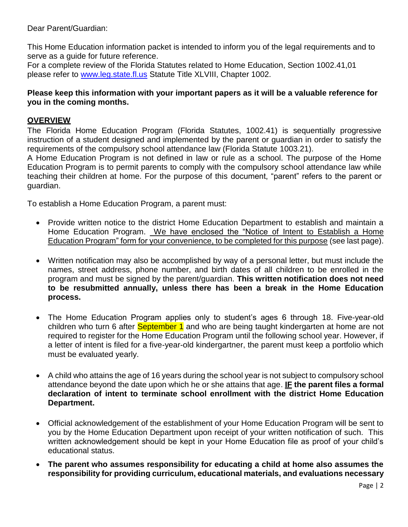Dear Parent/Guardian:

This Home Education information packet is intended to inform you of the legal requirements and to serve as a quide for future reference.

For a complete review of the Florida Statutes related to Home Education, Section 1002.41,01 please refer to [www.leg.state.fl.us](http://www.leg.state.fl.us/) Statute Title XLVIII, Chapter 1002.

#### **Please keep this information with your important papers as it will be a valuable reference for you in the coming months.**

# **OVERVIEW**

The Florida Home Education Program (Florida Statutes, 1002.41) is sequentially progressive instruction of a student designed and implemented by the parent or guardian in order to satisfy the requirements of the compulsory school attendance law (Florida Statute 1003.21).

A Home Education Program is not defined in law or rule as a school. The purpose of the Home Education Program is to permit parents to comply with the compulsory school attendance law while teaching their children at home. For the purpose of this document, "parent" refers to the parent or guardian.

To establish a Home Education Program, a parent must:

- Provide written notice to the district Home Education Department to establish and maintain a Home Education Program. We have enclosed the "Notice of Intent to Establish a Home Education Program" form for your convenience, to be completed for this purpose (see last page).
- Written notification may also be accomplished by way of a personal letter, but must include the names, street address, phone number, and birth dates of all children to be enrolled in the program and must be signed by the parent/guardian. **This written notification does not need to be resubmitted annually, unless there has been a break in the Home Education process.**
- The Home Education Program applies only to student's ages 6 through 18. Five-year-old children who turn 6 after **September 1** and who are being taught kindergarten at home are not required to register for the Home Education Program until the following school year. However, if a letter of intent is filed for a five-year-old kindergartner, the parent must keep a portfolio which must be evaluated yearly.
- A child who attains the age of 16 years during the school year is not subject to compulsory school attendance beyond the date upon which he or she attains that age. **IF the parent files a formal declaration of intent to terminate school enrollment with the district Home Education Department.**
- Official acknowledgement of the establishment of your Home Education Program will be sent to you by the Home Education Department upon receipt of your written notification of such. This written acknowledgement should be kept in your Home Education file as proof of your child's educational status.
- **The parent who assumes responsibility for educating a child at home also assumes the responsibility for providing curriculum, educational materials, and evaluations necessary**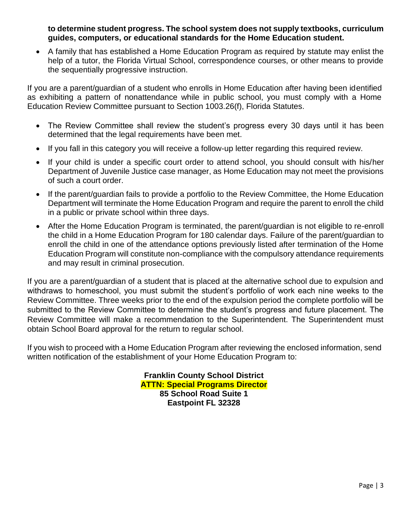**to determine student progress. The school system does not supply textbooks, curriculum guides, computers, or educational standards for the Home Education student.**

 A family that has established a Home Education Program as required by statute may enlist the help of a tutor, the Florida Virtual School, correspondence courses, or other means to provide the sequentially progressive instruction.

If you are a parent/guardian of a student who enrolls in Home Education after having been identified as exhibiting a pattern of nonattendance while in public school, you must comply with a Home Education Review Committee pursuant to Section 1003.26(f), Florida Statutes.

- The Review Committee shall review the student's progress every 30 days until it has been determined that the legal requirements have been met.
- If you fall in this category you will receive a follow-up letter regarding this required review.
- If your child is under a specific court order to attend school, you should consult with his/her Department of Juvenile Justice case manager, as Home Education may not meet the provisions of such a court order.
- If the parent/guardian fails to provide a portfolio to the Review Committee, the Home Education Department will terminate the Home Education Program and require the parent to enroll the child in a public or private school within three days.
- After the Home Education Program is terminated, the parent/guardian is not eligible to re-enroll the child in a Home Education Program for 180 calendar days. Failure of the parent/guardian to enroll the child in one of the attendance options previously listed after termination of the Home Education Program will constitute non-compliance with the compulsory attendance requirements and may result in criminal prosecution.

If you are a parent/guardian of a student that is placed at the alternative school due to expulsion and withdraws to homeschool, you must submit the student's portfolio of work each nine weeks to the Review Committee. Three weeks prior to the end of the expulsion period the complete portfolio will be submitted to the Review Committee to determine the student's progress and future placement. The Review Committee will make a recommendation to the Superintendent. The Superintendent must obtain School Board approval for the return to regular school.

If you wish to proceed with a Home Education Program after reviewing the enclosed information, send written notification of the establishment of your Home Education Program to:

> **Franklin County School District ATTN: Special Programs Director 85 School Road Suite 1 Eastpoint FL 32328**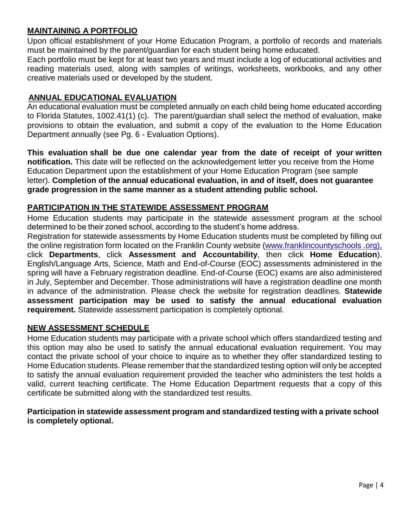## **MAINTAINING A PORTFOLIO**

Upon official establishment of your Home Education Program, a portfolio of records and materials must be maintained by the parent/guardian for each student being home educated.

Each portfolio must be kept for at least two years and must include a log of educational activities and reading materials used, along with samples of writings, worksheets, workbooks, and any other creative materials used or developed by the student.

#### **ANNUAL EDUCATIONAL EVALUATION**

An educational evaluation must be completed annually on each child being home educated according to Florida Statutes, 1002.41(1) (c). The parent/guardian shall select the method of evaluation, make provisions to obtain the evaluation, and submit a copy of the evaluation to the Home Education Department annually (see Pg. 6 - Evaluation Options).

**This evaluation shall be due one calendar year from the date of receipt of your written notification.** This date will be reflected on the acknowledgement letter you receive from the Home Education Department upon the establishment of your Home Education Program (see sample letter). **Completion of the annual educational evaluation, in and of itself, does not guarantee grade progression in the same manner as a student attending public school.**

#### **PARTICIPATION IN THE STATEWIDE ASSESSMENT PROGRAM**

Home Education students may participate in the statewide assessment program at the school determined to be their zoned school, according to the student's home address.

Registration for statewide assessments by Home Education students must be completed by filling out the online registration form located on the Franklin County website (www.franklincountyschools .org), click **Departments**, click **Assessment and Accountability**, then click **Home Education**). English/Language Arts, Science, Math and End-of-Course (EOC) assessments administered in the spring will have a February registration deadline. End-of-Course (EOC) exams are also administered in July, September and December. Those administrations will have a registration deadline one month in advance of the administration. Please check the website for registration deadlines. **Statewide assessment participation may be used to satisfy the annual educational evaluation requirement.** Statewide assessment participation is completely optional.

#### **NEW ASSESSMENT SCHEDULE**

Home Education students may participate with a private school which offers standardized testing and this option may also be used to satisfy the annual educational evaluation requirement. You may contact the private school of your choice to inquire as to whether they offer standardized testing to Home Education students. Please remember that the standardized testing option will only be accepted to satisfy the annual evaluation requirement provided the teacher who administers the test holds a valid, current teaching certificate. The Home Education Department requests that a copy of this certificate be submitted along with the standardized test results.

#### **Participation in statewide assessment program and standardized testing with a private school is completely optional.**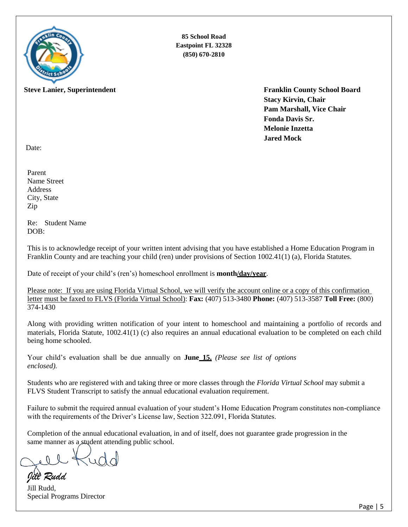

**85 School Road Eastpoint FL 32328 (850) 670-2810**

**Steve Lanier, Superintendent Franklin County School Board Stacy Kirvin, Chair Pam Marshall, Vice Chair Fonda Davis Sr. Melonie Inzetta Jared Mock**

Date:

Parent Name Street Address City, State Zip

Re: Student Name DOB:

This is to acknowledge receipt of your written intent advising that you have established a Home Education Program in Franklin County and are teaching your child (ren) under provisions of Section 1002.41(1) (a), Florida Statutes.

Date of receipt of your child's (ren's) homeschool enrollment is **month/day/year**.

Please note: If you are using Florida Virtual School, we will verify the account online or a copy of this confirmation letter must be faxed to FLVS (Florida Virtual School): **Fax:** (407) 513-3480 **Phone:** (407) 513-3587 **Toll Free:** (800) 374-1430

Along with providing written notification of your intent to homeschool and maintaining a portfolio of records and materials, Florida Statute, 1002.41(1) (c) also requires an annual educational evaluation to be completed on each child being home schooled.

Your child's evaluation shall be due annually on **June 15.** *(Please see list of options enclosed).*

Students who are registered with and taking three or more classes through the *Florida Virtual School* may submit a FLVS Student Transcript to satisfy the annual educational evaluation requirement.

Failure to submit the required annual evaluation of your student's Home Education Program constitutes non-compliance with the requirements of the Driver's License law, Section 322.091, Florida Statutes.

Completion of the annual educational evaluation, in and of itself, does not guarantee grade progression in the same manner as a student attending public school.

*Jill Rudd* Jill Rudd, Special Programs Director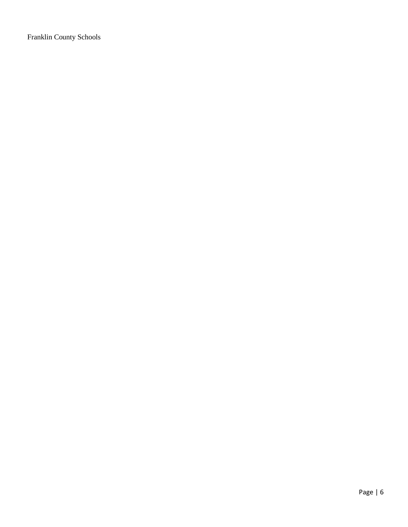Franklin County Schools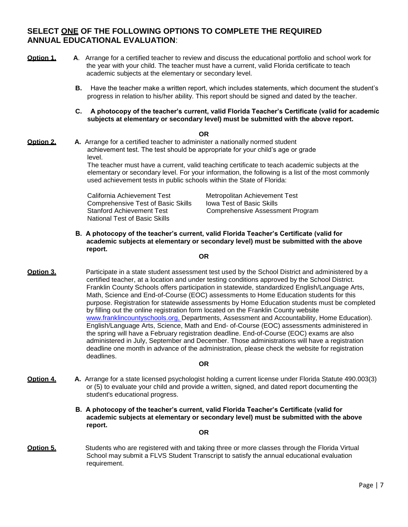#### **SELECT ONE OF THE FOLLOWING OPTIONS TO COMPLETE THE REQUIRED ANNUAL EDUCATIONAL EVALUATION**:

**Option 1.** A. Arrange for a certified teacher to review and discuss the educational portfolio and school work for the year with your child. The teacher must have a current, valid Florida certificate to teach academic subjects at the elementary or secondary level. **B.** Have the teacher make a written report, which includes statements, which document the student's progress in relation to his/her ability. This report should be signed and dated by the teacher. **C. A photocopy of the teacher's current, valid Florida Teacher's Certificate (valid for academic subjects at elementary or secondary level) must be submitted with the above report. OR Option 2. A.** Arrange for a certified teacher to administer a nationally normed student achievement test. The test should be appropriate for your child's age or grade level. The teacher must have a current, valid teaching certificate to teach academic subjects at the elementary or secondary level. For your information, the following is a list of the most commonly used achievement tests in public schools within the State of Florida: California Achievement Test Metropolitan Achievement Test Comprehensive Test of Basic Skills Iowa Test of Basic Skills Stanford Achievement Test Comprehensive Assessment Program National Test of Basic Skills **B. A photocopy of the teacher's current, valid Florida Teacher's Certificate (valid for academic subjects at elementary or secondary level) must be submitted with the above report. OR Option 3.** Participate in a state student assessment test used by the School District and administered by a certified teacher, at a location and under testing conditions approved by the School District. Franklin County Schools offers participation in statewide, standardized English/Language Arts, Math, Science and End-of-Course (EOC) assessments to Home Education students for this purpose. Registration for statewide assessments by Home Education students must be completed by filling out the online registration form located on the Franklin County website www.franklincountyschools.org, Departments, Assessment and Accountability, Home Education). English/Language Arts, Science, Math and End- of-Course (EOC) assessments administered in the spring will have a February registration deadline. End-of-Course (EOC) exams are also administered in July, September and December. Those administrations will have a registration deadline one month in advance of the administration, please check the website for registration deadlines. **OR Option 4. A.** Arrange for a state licensed psychologist holding a current license under Florida Statute 490.003(3) or (5) to evaluate your child and provide a written, signed, and dated report documenting the student's educational progress. **B. A photocopy of the teacher's current, valid Florida Teacher's Certificate (valid for academic subjects at elementary or secondary level) must be submitted with the above report. OR Option 5.** Students who are registered with and taking three or more classes through the Florida Virtual School may submit a FLVS Student Transcript to satisfy the annual educational evaluation requirement.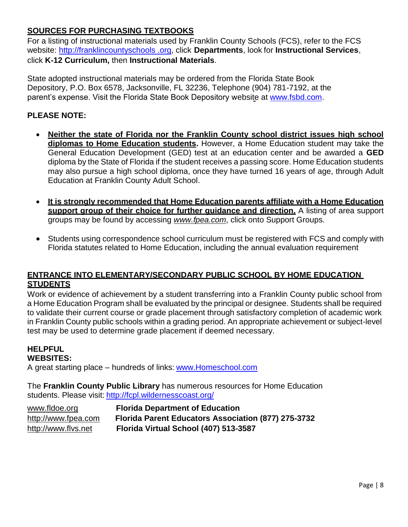# **SOURCES FOR PURCHASING TEXTBOOKS**

For a listing of instructional materials used by Franklin County Schools (FCS), refer to the FCS website: [http://franklincountyschools .org,](http://myvolusiaschools.org/) click **Departments**, look for **Instructional Services**, click **K-12 Curriculum,** then **Instructional Materials**.

State adopted instructional materials may be ordered from the Florida State Book Depository, P.O. Box 6578, Jacksonville, FL 32236, Telephone (904) 781-7192, at the parent's expense. Visit the Florida State Book Depository website at [www.fsbd.com.](http://www.fsbd.com/)

# **PLEASE NOTE:**

- **Neither the state of Florida nor the Franklin County school district issues high school diplomas to Home Education students.** However, a Home Education student may take the General Education Development (GED) test at an education center and be awarded a **GED**  diploma by the State of Florida if the student receives a passing score. Home Education students may also pursue a high school diploma, once they have turned 16 years of age, through Adult Education at Franklin County Adult School.
- **It is strongly recommended that Home Education parents affiliate with a Home Education support group of their choice for further guidance and direction.** A listing of area support groups may be found by accessing *[www.fpea.com](http://www.fpea.com/)*, click onto Support Groups.
- Students using correspondence school curriculum must be registered with FCS and comply with Florida statutes related to Home Education, including the annual evaluation requirement

# **ENTRANCE INTO ELEMENTARY/SECONDARY PUBLIC SCHOOL BY HOME EDUCATION STUDENTS**

Work or evidence of achievement by a student transferring into a Franklin County public school from a Home Education Program shall be evaluated by the principal or designee. Students shall be required to validate their current course or grade placement through satisfactory completion of academic work in Franklin County public schools within a grading period. An appropriate achievement or subject-level test may be used to determine grade placement if deemed necessary.

#### **HELPFUL WEBSITES:**

A great starting place – hundreds of links: [www.Homeschool.com](http://www.homeschool.com/)

The **Franklin County Public Library** has numerous resources for Home Education students. Please visit: <http://fcpl.wildernesscoast.org/>

[www.fldoe.org](http://www.fldoe.org/) **Florida Department of Education** [http://www.fpea.com](http://www.fpea.com/) **Florida Parent Educators Association (877) 275-3732** [http://www.flvs.net](http://www.flvs.net/) **Florida Virtual School (407) 513-3587**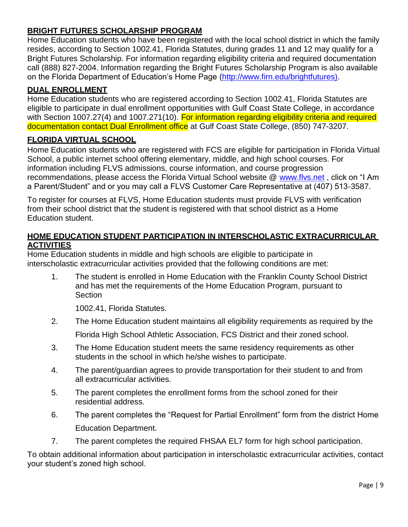# **BRIGHT FUTURES SCHOLARSHIP PROGRAM**

Home Education students who have been registered with the local school district in which the family resides, according to Section 1002.41, Florida Statutes, during grades 11 and 12 may qualify for a Bright Futures Scholarship. For information regarding eligibility criteria and required documentation call (888) 827-2004. Information regarding the Bright Futures Scholarship Program is also available on the Florida Department of Education's Home Page [\(http://www.firn.edu/brightfutures\).](http://www.firn.edu/brightfutures))

# **DUAL ENROLLMENT**

Home Education students who are registered according to Section 1002.41, Florida Statutes are eligible to participate in dual enrollment opportunities with Gulf Coast State College, in accordance with Section 1007.27(4) and 1007.271(10). For information regarding eligibility criteria and required documentation contact Dual Enrollment office at Gulf Coast State College, (850) 747-3207.

### **FLORIDA VIRTUAL SCHOOL**

Home Education students who are registered with FCS are eligible for participation in Florida Virtual School, a public internet school offering elementary, middle, and high school courses. For information including FLVS admissions, course information, and course progression recommendations, please access the Florida Virtual School website @ [www.flvs.net](http://www.flvs.net/) , click on "I Am a Parent/Student" and or you may call a FLVS Customer Care Representative at (407) 513-3587.

To register for courses at FLVS, Home Education students must provide FLVS with verification from their school district that the student is registered with that school district as a Home Education student.

#### **HOME EDUCATION STUDENT PARTICIPATION IN INTERSCHOLASTIC EXTRACURRICULAR ACTIVITIES**

Home Education students in middle and high schools are eligible to participate in interscholastic extracurricular activities provided that the following conditions are met:

1. The student is enrolled in Home Education with the Franklin County School District and has met the requirements of the Home Education Program, pursuant to **Section** 

1002.41, Florida Statutes.

- 2. The Home Education student maintains all eligibility requirements as required by the Florida High School Athletic Association, FCS District and their zoned school.
- 3. The Home Education student meets the same residency requirements as other students in the school in which he/she wishes to participate.
- 4. The parent/guardian agrees to provide transportation for their student to and from all extracurricular activities.
- 5. The parent completes the enrollment forms from the school zoned for their residential address.
- 6. The parent completes the "Request for Partial Enrollment" form from the district Home Education Department.
- 7. The parent completes the required FHSAA EL7 form for high school participation.

To obtain additional information about participation in interscholastic extracurricular activities, contact your student's zoned high school.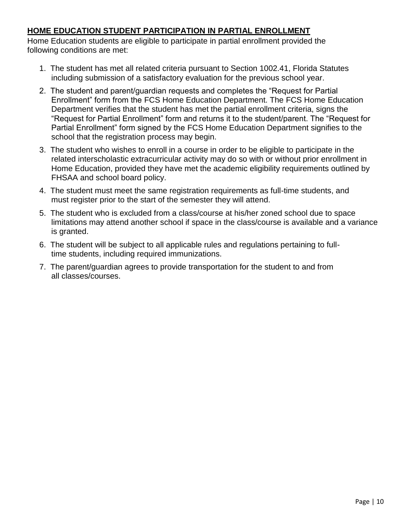# **HOME EDUCATION STUDENT PARTICIPATION IN PARTIAL ENROLLMENT**

Home Education students are eligible to participate in partial enrollment provided the following conditions are met:

- 1. The student has met all related criteria pursuant to Section 1002.41, Florida Statutes including submission of a satisfactory evaluation for the previous school year.
- 2. The student and parent/guardian requests and completes the "Request for Partial Enrollment" form from the FCS Home Education Department. The FCS Home Education Department verifies that the student has met the partial enrollment criteria, signs the "Request for Partial Enrollment" form and returns it to the student/parent. The "Request for Partial Enrollment" form signed by the FCS Home Education Department signifies to the school that the registration process may begin.
- 3. The student who wishes to enroll in a course in order to be eligible to participate in the related interscholastic extracurricular activity may do so with or without prior enrollment in Home Education, provided they have met the academic eligibility requirements outlined by FHSAA and school board policy.
- 4. The student must meet the same registration requirements as full-time students, and must register prior to the start of the semester they will attend.
- 5. The student who is excluded from a class/course at his/her zoned school due to space limitations may attend another school if space in the class/course is available and a variance is granted.
- 6. The student will be subject to all applicable rules and regulations pertaining to fulltime students, including required immunizations.
- 7. The parent/guardian agrees to provide transportation for the student to and from all classes/courses.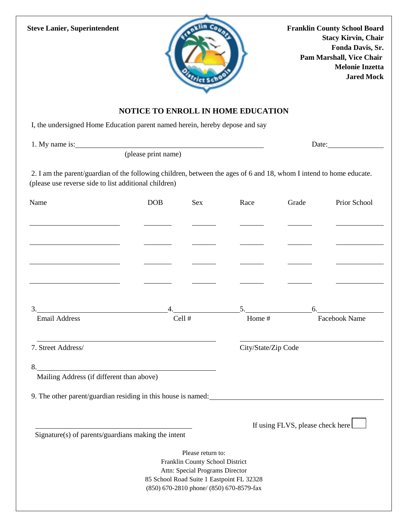| <b>Steve Lanier, Superintendent</b>                                                                                                                                          |                                    | <b>Crices</b>                                                                                                                                                                    |                     |                                  | <b>Franklin County School Board</b><br><b>Stacy Kirvin, Chair</b><br>Fonda Davis, Sr.<br>Pam Marshall, Vice Chair<br><b>Melonie Inzetta</b><br><b>Jared Mock</b> |  |
|------------------------------------------------------------------------------------------------------------------------------------------------------------------------------|------------------------------------|----------------------------------------------------------------------------------------------------------------------------------------------------------------------------------|---------------------|----------------------------------|------------------------------------------------------------------------------------------------------------------------------------------------------------------|--|
|                                                                                                                                                                              | NOTICE TO ENROLL IN HOME EDUCATION |                                                                                                                                                                                  |                     |                                  |                                                                                                                                                                  |  |
| I, the undersigned Home Education parent named herein, hereby depose and say                                                                                                 |                                    |                                                                                                                                                                                  |                     |                                  |                                                                                                                                                                  |  |
|                                                                                                                                                                              |                                    | Date:                                                                                                                                                                            |                     |                                  |                                                                                                                                                                  |  |
|                                                                                                                                                                              | (please print name)                |                                                                                                                                                                                  |                     |                                  |                                                                                                                                                                  |  |
| 2. I am the parent/guardian of the following children, between the ages of 6 and 18, whom I intend to home educate.<br>(please use reverse side to list additional children) |                                    |                                                                                                                                                                                  |                     |                                  |                                                                                                                                                                  |  |
| Name                                                                                                                                                                         | DOB                                | Sex                                                                                                                                                                              | Race                | Grade                            | Prior School                                                                                                                                                     |  |
|                                                                                                                                                                              |                                    |                                                                                                                                                                                  |                     |                                  |                                                                                                                                                                  |  |
|                                                                                                                                                                              |                                    |                                                                                                                                                                                  |                     |                                  |                                                                                                                                                                  |  |
|                                                                                                                                                                              |                                    |                                                                                                                                                                                  |                     |                                  |                                                                                                                                                                  |  |
|                                                                                                                                                                              |                                    |                                                                                                                                                                                  |                     |                                  |                                                                                                                                                                  |  |
|                                                                                                                                                                              |                                    |                                                                                                                                                                                  |                     |                                  |                                                                                                                                                                  |  |
|                                                                                                                                                                              |                                    |                                                                                                                                                                                  |                     |                                  |                                                                                                                                                                  |  |
| 3                                                                                                                                                                            | $\overline{4}$                     |                                                                                                                                                                                  | 5.                  | 6                                |                                                                                                                                                                  |  |
| Email Address                                                                                                                                                                |                                    | Cell #                                                                                                                                                                           |                     | Home #<br>Facebook Name          |                                                                                                                                                                  |  |
| 7. Street Address/                                                                                                                                                           |                                    |                                                                                                                                                                                  |                     |                                  |                                                                                                                                                                  |  |
|                                                                                                                                                                              |                                    |                                                                                                                                                                                  | City/State/Zip Code |                                  |                                                                                                                                                                  |  |
| 8.<br>Mailing Address (if different than above)                                                                                                                              |                                    |                                                                                                                                                                                  |                     |                                  |                                                                                                                                                                  |  |
|                                                                                                                                                                              |                                    |                                                                                                                                                                                  |                     |                                  |                                                                                                                                                                  |  |
| 9. The other parent/guardian residing in this house is named:                                                                                                                |                                    |                                                                                                                                                                                  |                     |                                  |                                                                                                                                                                  |  |
|                                                                                                                                                                              |                                    |                                                                                                                                                                                  |                     |                                  |                                                                                                                                                                  |  |
| Signature(s) of parents/guardians making the intent                                                                                                                          |                                    |                                                                                                                                                                                  |                     | If using FLVS, please check here |                                                                                                                                                                  |  |
|                                                                                                                                                                              |                                    | Please return to:<br>Franklin County School District<br>Attn: Special Programs Director<br>85 School Road Suite 1 Eastpoint FL 32328<br>(850) 670-2810 phone/ (850) 670-8579-fax |                     |                                  |                                                                                                                                                                  |  |